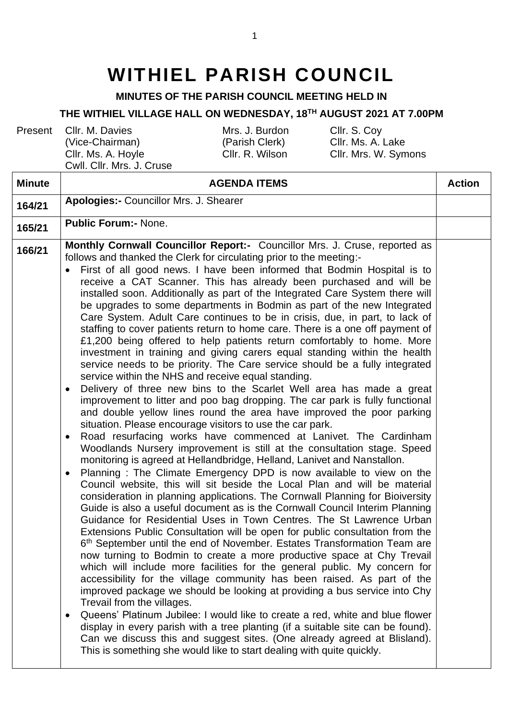## **WITHIEL PARISH COUNCIL**

**MINUTES OF THE PARISH COUNCIL MEETING HELD IN**

## **THE WITHIEL VILLAGE HALL ON WEDNESDAY, 18TH AUGUST 2021 AT 7.00PM**

Present Cllr. M. Davies (Vice-Chairman) Cllr. Ms. A. Hoyle

Cwll. Cllr. Mrs. J. Cruse

Mrs. J. Burdon (Parish Clerk)

Cllr. S. Coy Cllr. Ms. A. Lake Cllr. R. Wilson Cllr. Mrs. W. Symons

| <b>Minute</b> | <b>AGENDA ITEMS</b>                                                                                                                                                                                                                                                                                                                                                                                                                                                                                                                                                                                                                                                                                                                                                                                                                                                                                                                                                                                                                                                                                                                                                                                                                                                                                                                                                                                                                                                                                                                                                                                                                                                                                                                                                                                                                                                                                                                                                                                                                                                                                                                                                                                                                                                                                                                                                                                                                                                                                                                                                                                                                                                                                                                  | <b>Action</b> |
|---------------|--------------------------------------------------------------------------------------------------------------------------------------------------------------------------------------------------------------------------------------------------------------------------------------------------------------------------------------------------------------------------------------------------------------------------------------------------------------------------------------------------------------------------------------------------------------------------------------------------------------------------------------------------------------------------------------------------------------------------------------------------------------------------------------------------------------------------------------------------------------------------------------------------------------------------------------------------------------------------------------------------------------------------------------------------------------------------------------------------------------------------------------------------------------------------------------------------------------------------------------------------------------------------------------------------------------------------------------------------------------------------------------------------------------------------------------------------------------------------------------------------------------------------------------------------------------------------------------------------------------------------------------------------------------------------------------------------------------------------------------------------------------------------------------------------------------------------------------------------------------------------------------------------------------------------------------------------------------------------------------------------------------------------------------------------------------------------------------------------------------------------------------------------------------------------------------------------------------------------------------------------------------------------------------------------------------------------------------------------------------------------------------------------------------------------------------------------------------------------------------------------------------------------------------------------------------------------------------------------------------------------------------------------------------------------------------------------------------------------------------|---------------|
| 164/21        | <b>Apologies:- Councillor Mrs. J. Shearer</b>                                                                                                                                                                                                                                                                                                                                                                                                                                                                                                                                                                                                                                                                                                                                                                                                                                                                                                                                                                                                                                                                                                                                                                                                                                                                                                                                                                                                                                                                                                                                                                                                                                                                                                                                                                                                                                                                                                                                                                                                                                                                                                                                                                                                                                                                                                                                                                                                                                                                                                                                                                                                                                                                                        |               |
| 165/21        | <b>Public Forum:- None.</b>                                                                                                                                                                                                                                                                                                                                                                                                                                                                                                                                                                                                                                                                                                                                                                                                                                                                                                                                                                                                                                                                                                                                                                                                                                                                                                                                                                                                                                                                                                                                                                                                                                                                                                                                                                                                                                                                                                                                                                                                                                                                                                                                                                                                                                                                                                                                                                                                                                                                                                                                                                                                                                                                                                          |               |
| 166/21        | Monthly Cornwall Councillor Report:- Councillor Mrs. J. Cruse, reported as<br>follows and thanked the Clerk for circulating prior to the meeting:-<br>First of all good news. I have been informed that Bodmin Hospital is to<br>receive a CAT Scanner. This has already been purchased and will be<br>installed soon. Additionally as part of the Integrated Care System there will<br>be upgrades to some departments in Bodmin as part of the new Integrated<br>Care System. Adult Care continues to be in crisis, due, in part, to lack of<br>staffing to cover patients return to home care. There is a one off payment of<br>£1,200 being offered to help patients return comfortably to home. More<br>investment in training and giving carers equal standing within the health<br>service needs to be priority. The Care service should be a fully integrated<br>service within the NHS and receive equal standing.<br>Delivery of three new bins to the Scarlet Well area has made a great<br>$\bullet$<br>improvement to litter and poo bag dropping. The car park is fully functional<br>and double yellow lines round the area have improved the poor parking<br>situation. Please encourage visitors to use the car park.<br>Road resurfacing works have commenced at Lanivet. The Cardinham<br>$\bullet$<br>Woodlands Nursery improvement is still at the consultation stage. Speed<br>monitoring is agreed at Hellandbridge, Helland, Lanivet and Nanstallon.<br>Planning: The Climate Emergency DPD is now available to view on the<br>$\bullet$<br>Council website, this will sit beside the Local Plan and will be material<br>consideration in planning applications. The Cornwall Planning for Bioiversity<br>Guide is also a useful document as is the Cornwall Council Interim Planning<br>Guidance for Residential Uses in Town Centres. The St Lawrence Urban<br>Extensions Public Consultation will be open for public consultation from the<br>6th September until the end of November. Estates Transformation Team are<br>now turning to Bodmin to create a more productive space at Chy Trevail<br>which will include more facilities for the general public. My concern for<br>accessibility for the village community has been raised. As part of the<br>improved package we should be looking at providing a bus service into Chy<br>Trevail from the villages.<br>Queens' Platinum Jubilee: I would like to create a red, white and blue flower<br>$\bullet$<br>display in every parish with a tree planting (if a suitable site can be found).<br>Can we discuss this and suggest sites. (One already agreed at Blisland).<br>This is something she would like to start dealing with quite quickly. |               |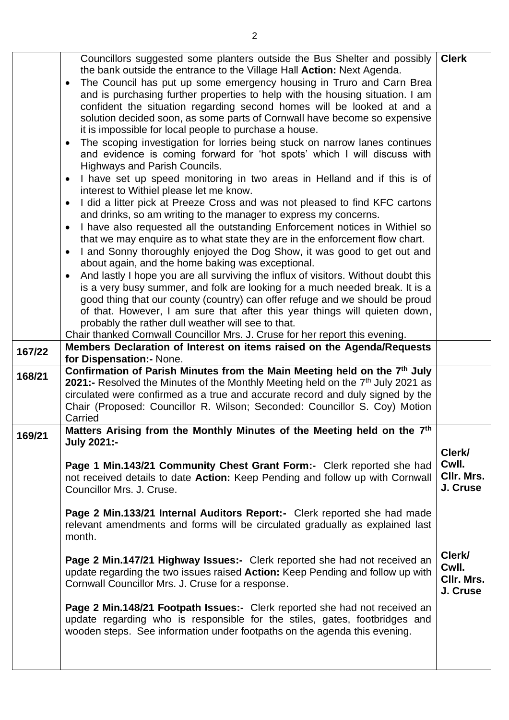|        | Councillors suggested some planters outside the Bus Shelter and possibly                    | <b>Clerk</b> |
|--------|---------------------------------------------------------------------------------------------|--------------|
|        | the bank outside the entrance to the Village Hall Action: Next Agenda.                      |              |
|        | The Council has put up some emergency housing in Truro and Carn Brea<br>$\bullet$           |              |
|        | and is purchasing further properties to help with the housing situation. I am               |              |
|        |                                                                                             |              |
|        | confident the situation regarding second homes will be looked at and a                      |              |
|        | solution decided soon, as some parts of Cornwall have become so expensive                   |              |
|        | it is impossible for local people to purchase a house.                                      |              |
|        | The scoping investigation for lorries being stuck on narrow lanes continues                 |              |
|        | and evidence is coming forward for 'hot spots' which I will discuss with                    |              |
|        | Highways and Parish Councils.                                                               |              |
|        | I have set up speed monitoring in two areas in Helland and if this is of                    |              |
|        | interest to Withiel please let me know.                                                     |              |
|        | I did a litter pick at Preeze Cross and was not pleased to find KFC cartons                 |              |
|        | and drinks, so am writing to the manager to express my concerns.                            |              |
|        | I have also requested all the outstanding Enforcement notices in Withiel so                 |              |
|        | that we may enquire as to what state they are in the enforcement flow chart.                |              |
|        | I and Sonny thoroughly enjoyed the Dog Show, it was good to get out and                     |              |
|        |                                                                                             |              |
|        | about again, and the home baking was exceptional.                                           |              |
|        | And lastly I hope you are all surviving the influx of visitors. Without doubt this          |              |
|        | is a very busy summer, and folk are looking for a much needed break. It is a                |              |
|        | good thing that our county (country) can offer refuge and we should be proud                |              |
|        | of that. However, I am sure that after this year things will quieten down,                  |              |
|        | probably the rather dull weather will see to that.                                          |              |
|        | Chair thanked Cornwall Councillor Mrs. J. Cruse for her report this evening.                |              |
| 167/22 | Members Declaration of Interest on items raised on the Agenda/Requests                      |              |
|        | for Dispensation: - None.                                                                   |              |
| 168/21 | Confirmation of Parish Minutes from the Main Meeting held on the 7 <sup>th</sup> July       |              |
|        | 2021:- Resolved the Minutes of the Monthly Meeting held on the 7 <sup>th</sup> July 2021 as |              |
|        | circulated were confirmed as a true and accurate record and duly signed by the              |              |
|        | Chair (Proposed: Councillor R. Wilson; Seconded: Councillor S. Coy) Motion                  |              |
|        | Carried                                                                                     |              |
|        | Matters Arising from the Monthly Minutes of the Meeting held on the 7 <sup>th</sup>         |              |
| 169/21 | <b>July 2021:-</b>                                                                          |              |
|        |                                                                                             | Clerk/       |
|        | Page 1 Min.143/21 Community Chest Grant Form:- Clerk reported she had                       | Cwll.        |
|        | not received details to date Action: Keep Pending and follow up with Cornwall               | CIIr. Mrs.   |
|        | Councillor Mrs. J. Cruse.                                                                   | J. Cruse     |
|        |                                                                                             |              |
|        | Page 2 Min.133/21 Internal Auditors Report:- Clerk reported she had made                    |              |
|        | relevant amendments and forms will be circulated gradually as explained last                |              |
|        | month.                                                                                      |              |
|        |                                                                                             |              |
|        | Page 2 Min.147/21 Highway Issues:- Clerk reported she had not received an                   | Clerk/       |
|        | update regarding the two issues raised Action: Keep Pending and follow up with              | Cwll.        |
|        | Cornwall Councillor Mrs. J. Cruse for a response.                                           | CIIr. Mrs.   |
|        |                                                                                             | J. Cruse     |
|        | Page 2 Min.148/21 Footpath Issues:- Clerk reported she had not received an                  |              |
|        | update regarding who is responsible for the stiles, gates, footbridges and                  |              |
|        | wooden steps. See information under footpaths on the agenda this evening.                   |              |
|        |                                                                                             |              |
|        |                                                                                             |              |
|        |                                                                                             |              |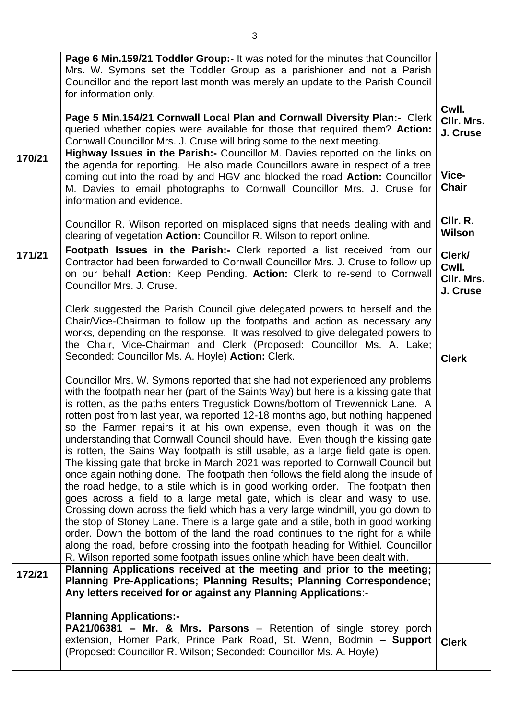|        | Page 6 Min.159/21 Toddler Group:- It was noted for the minutes that Councillor<br>Mrs. W. Symons set the Toddler Group as a parishioner and not a Parish<br>Councillor and the report last month was merely an update to the Parish Council<br>for information only.                                                                                                                                                                                                                                                                                                                                                                                                                                                                                                                                                                                                                                                                                                                                                                                                                                                                                                                                                                                                                                                                                 | Cwll.                                     |
|--------|------------------------------------------------------------------------------------------------------------------------------------------------------------------------------------------------------------------------------------------------------------------------------------------------------------------------------------------------------------------------------------------------------------------------------------------------------------------------------------------------------------------------------------------------------------------------------------------------------------------------------------------------------------------------------------------------------------------------------------------------------------------------------------------------------------------------------------------------------------------------------------------------------------------------------------------------------------------------------------------------------------------------------------------------------------------------------------------------------------------------------------------------------------------------------------------------------------------------------------------------------------------------------------------------------------------------------------------------------|-------------------------------------------|
|        | Page 5 Min.154/21 Cornwall Local Plan and Cornwall Diversity Plan:- Clerk<br>queried whether copies were available for those that required them? Action:<br>Cornwall Councillor Mrs. J. Cruse will bring some to the next meeting.                                                                                                                                                                                                                                                                                                                                                                                                                                                                                                                                                                                                                                                                                                                                                                                                                                                                                                                                                                                                                                                                                                                   | CIIr. Mrs.<br>J. Cruse                    |
| 170/21 | Highway Issues in the Parish: - Councillor M. Davies reported on the links on<br>the agenda for reporting. He also made Councillors aware in respect of a tree<br>coming out into the road by and HGV and blocked the road Action: Councillor<br>M. Davies to email photographs to Cornwall Councillor Mrs. J. Cruse for<br>information and evidence.                                                                                                                                                                                                                                                                                                                                                                                                                                                                                                                                                                                                                                                                                                                                                                                                                                                                                                                                                                                                | Vice-<br><b>Chair</b>                     |
|        | Councillor R. Wilson reported on misplaced signs that needs dealing with and<br>clearing of vegetation Action: Councillor R. Wilson to report online.                                                                                                                                                                                                                                                                                                                                                                                                                                                                                                                                                                                                                                                                                                                                                                                                                                                                                                                                                                                                                                                                                                                                                                                                | CIIr. R.<br><b>Wilson</b>                 |
| 171/21 | Footpath Issues in the Parish:- Clerk reported a list received from our<br>Contractor had been forwarded to Cornwall Councillor Mrs. J. Cruse to follow up<br>on our behalf Action: Keep Pending. Action: Clerk to re-send to Cornwall<br>Councillor Mrs. J. Cruse.                                                                                                                                                                                                                                                                                                                                                                                                                                                                                                                                                                                                                                                                                                                                                                                                                                                                                                                                                                                                                                                                                  | Clerk/<br>Cwll.<br>CIIr. Mrs.<br>J. Cruse |
|        | Clerk suggested the Parish Council give delegated powers to herself and the<br>Chair/Vice-Chairman to follow up the footpaths and action as necessary any<br>works, depending on the response. It was resolved to give delegated powers to<br>the Chair, Vice-Chairman and Clerk (Proposed: Councillor Ms. A. Lake;<br>Seconded: Councillor Ms. A. Hoyle) Action: Clerk.                                                                                                                                                                                                                                                                                                                                                                                                                                                                                                                                                                                                                                                                                                                                                                                                                                                                                                                                                                             | <b>Clerk</b>                              |
|        | Councillor Mrs. W. Symons reported that she had not experienced any problems<br>with the footpath near her (part of the Saints Way) but here is a kissing gate that<br>is rotten, as the paths enters Tregustick Downs/bottom of Trewennick Lane. A<br>rotten post from last year, wa reported 12-18 months ago, but nothing happened<br>so the Farmer repairs it at his own expense, even though it was on the<br>understanding that Cornwall Council should have. Even though the kissing gate<br>is rotten, the Sains Way footpath is still usable, as a large field gate is open.<br>The kissing gate that broke in March 2021 was reported to Cornwall Council but<br>once again nothing done. The footpath then follows the field along the insude of<br>the road hedge, to a stile which is in good working order. The footpath then<br>goes across a field to a large metal gate, which is clear and wasy to use.<br>Crossing down across the field which has a very large windmill, you go down to<br>the stop of Stoney Lane. There is a large gate and a stile, both in good working<br>order. Down the bottom of the land the road continues to the right for a while<br>along the road, before crossing into the footpath heading for Withiel. Councillor<br>R. Wilson reported some footpath issues online which have been dealt with. |                                           |
| 172/21 | Planning Applications received at the meeting and prior to the meeting;<br>Planning Pre-Applications; Planning Results; Planning Correspondence;<br>Any letters received for or against any Planning Applications:-                                                                                                                                                                                                                                                                                                                                                                                                                                                                                                                                                                                                                                                                                                                                                                                                                                                                                                                                                                                                                                                                                                                                  |                                           |
|        | <b>Planning Applications:-</b><br>PA21/06381 - Mr. & Mrs. Parsons - Retention of single storey porch<br>extension, Homer Park, Prince Park Road, St. Wenn, Bodmin - Support<br>(Proposed: Councillor R. Wilson; Seconded: Councillor Ms. A. Hoyle)                                                                                                                                                                                                                                                                                                                                                                                                                                                                                                                                                                                                                                                                                                                                                                                                                                                                                                                                                                                                                                                                                                   | <b>Clerk</b>                              |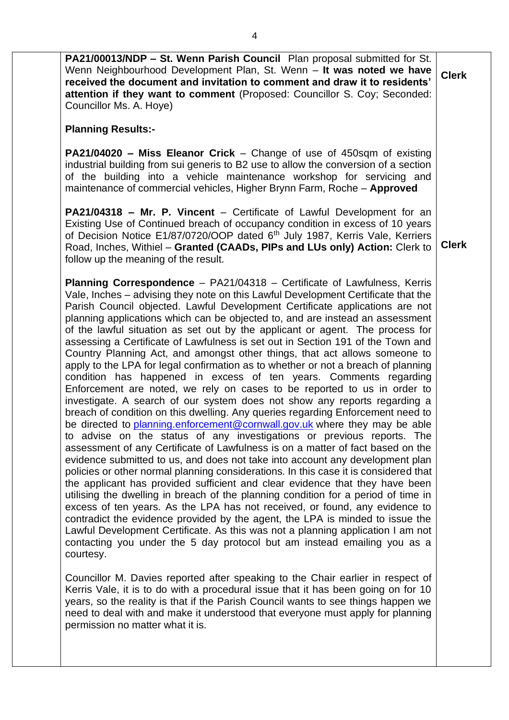| PA21/00013/NDP - St. Wenn Parish Council Plan proposal submitted for St.<br>Wenn Neighbourhood Development Plan, St. Wenn - It was noted we have<br>received the document and invitation to comment and draw it to residents'<br>attention if they want to comment (Proposed: Councillor S. Coy; Seconded:<br>Councillor Ms. A. Hoye)                                                                                                                                                                                                                                                                                                                                                                                                                                                                                                                                                                                                                                                                                                                                                                                                                                                                                                                                                                                                                                                                                                                                                                                                                                                                                                                                                                                                                                                                                                                                                                                                                                                                                                                                                                                                                                                                                                                                                                           | <b>Clerk</b> |
|-----------------------------------------------------------------------------------------------------------------------------------------------------------------------------------------------------------------------------------------------------------------------------------------------------------------------------------------------------------------------------------------------------------------------------------------------------------------------------------------------------------------------------------------------------------------------------------------------------------------------------------------------------------------------------------------------------------------------------------------------------------------------------------------------------------------------------------------------------------------------------------------------------------------------------------------------------------------------------------------------------------------------------------------------------------------------------------------------------------------------------------------------------------------------------------------------------------------------------------------------------------------------------------------------------------------------------------------------------------------------------------------------------------------------------------------------------------------------------------------------------------------------------------------------------------------------------------------------------------------------------------------------------------------------------------------------------------------------------------------------------------------------------------------------------------------------------------------------------------------------------------------------------------------------------------------------------------------------------------------------------------------------------------------------------------------------------------------------------------------------------------------------------------------------------------------------------------------------------------------------------------------------------------------------------------------|--------------|
| <b>Planning Results:-</b>                                                                                                                                                                                                                                                                                                                                                                                                                                                                                                                                                                                                                                                                                                                                                                                                                                                                                                                                                                                                                                                                                                                                                                                                                                                                                                                                                                                                                                                                                                                                                                                                                                                                                                                                                                                                                                                                                                                                                                                                                                                                                                                                                                                                                                                                                       |              |
| <b>PA21/04020 - Miss Eleanor Crick</b> – Change of use of 450sqm of existing<br>industrial building from sui generis to B2 use to allow the conversion of a section<br>of the building into a vehicle maintenance workshop for servicing and<br>maintenance of commercial vehicles, Higher Brynn Farm, Roche - Approved                                                                                                                                                                                                                                                                                                                                                                                                                                                                                                                                                                                                                                                                                                                                                                                                                                                                                                                                                                                                                                                                                                                                                                                                                                                                                                                                                                                                                                                                                                                                                                                                                                                                                                                                                                                                                                                                                                                                                                                         |              |
| <b>PA21/04318 - Mr. P. Vincent</b> - Certificate of Lawful Development for an<br>Existing Use of Continued breach of occupancy condition in excess of 10 years<br>of Decision Notice E1/87/0720/OOP dated 6 <sup>th</sup> July 1987, Kerris Vale, Kerriers<br>Road, Inches, Withiel - Granted (CAADs, PIPs and LUs only) Action: Clerk to<br>follow up the meaning of the result.                                                                                                                                                                                                                                                                                                                                                                                                                                                                                                                                                                                                                                                                                                                                                                                                                                                                                                                                                                                                                                                                                                                                                                                                                                                                                                                                                                                                                                                                                                                                                                                                                                                                                                                                                                                                                                                                                                                               | <b>Clerk</b> |
| Planning Correspondence - PA21/04318 - Certificate of Lawfulness, Kerris<br>Vale, Inches – advising they note on this Lawful Development Certificate that the<br>Parish Council objected. Lawful Development Certificate applications are not<br>planning applications which can be objected to, and are instead an assessment<br>of the lawful situation as set out by the applicant or agent. The process for<br>assessing a Certificate of Lawfulness is set out in Section 191 of the Town and<br>Country Planning Act, and amongst other things, that act allows someone to<br>apply to the LPA for legal confirmation as to whether or not a breach of planning<br>condition has happened in excess of ten years. Comments regarding<br>Enforcement are noted, we rely on cases to be reported to us in order to<br>investigate. A search of our system does not show any reports regarding a<br>breach of condition on this dwelling. Any queries regarding Enforcement need to<br>be directed to planning enforcement@cornwall gov.uk where they may be able<br>to advise on the status of any investigations or previous reports. The<br>assessment of any Certificate of Lawfulness is on a matter of fact based on the<br>evidence submitted to us, and does not take into account any development plan<br>policies or other normal planning considerations. In this case it is considered that<br>the applicant has provided sufficient and clear evidence that they have been<br>utilising the dwelling in breach of the planning condition for a period of time in<br>excess of ten years. As the LPA has not received, or found, any evidence to<br>contradict the evidence provided by the agent, the LPA is minded to issue the<br>Lawful Development Certificate. As this was not a planning application I am not<br>contacting you under the 5 day protocol but am instead emailing you as a<br>courtesy.<br>Councillor M. Davies reported after speaking to the Chair earlier in respect of<br>Kerris Vale, it is to do with a procedural issue that it has been going on for 10<br>years, so the reality is that if the Parish Council wants to see things happen we<br>need to deal with and make it understood that everyone must apply for planning<br>permission no matter what it is. |              |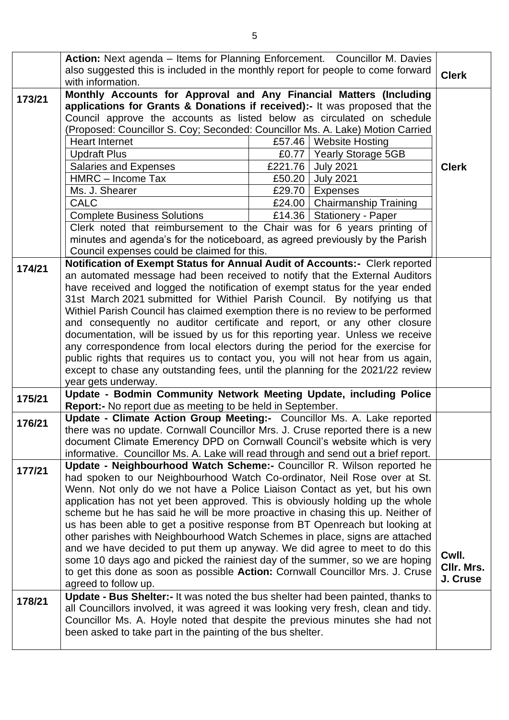|        | Action: Next agenda – Items for Planning Enforcement. Councillor M. Davies<br>also suggested this is included in the monthly report for people to come forward |        |                                |              |
|--------|----------------------------------------------------------------------------------------------------------------------------------------------------------------|--------|--------------------------------|--------------|
|        | with information.                                                                                                                                              |        |                                | <b>Clerk</b> |
| 173/21 | Monthly Accounts for Approval and Any Financial Matters (Including                                                                                             |        |                                |              |
|        | applications for Grants & Donations if received):- It was proposed that the                                                                                    |        |                                |              |
|        | Council approve the accounts as listed below as circulated on schedule                                                                                         |        |                                |              |
|        | (Proposed: Councillor S. Coy; Seconded: Councillor Ms. A. Lake) Motion Carried                                                                                 |        |                                |              |
|        | <b>Heart Internet</b>                                                                                                                                          | £57.46 | <b>Website Hosting</b>         |              |
|        | <b>Updraft Plus</b>                                                                                                                                            | £0.77  | <b>Yearly Storage 5GB</b>      |              |
|        | <b>Salaries and Expenses</b>                                                                                                                                   |        | £221.76 July 2021              | <b>Clerk</b> |
|        | HMRC - Income Tax                                                                                                                                              | £50.20 | <b>July 2021</b>               |              |
|        | Ms. J. Shearer                                                                                                                                                 |        | £29.70   Expenses              |              |
|        | <b>CALC</b>                                                                                                                                                    |        | £24.00   Chairmanship Training |              |
|        | <b>Complete Business Solutions</b>                                                                                                                             |        | £14.36   Stationery - Paper    |              |
|        | Clerk noted that reimbursement to the Chair was for 6 years printing of                                                                                        |        |                                |              |
|        | minutes and agenda's for the noticeboard, as agreed previously by the Parish<br>Council expenses could be claimed for this.                                    |        |                                |              |
|        | Notification of Exempt Status for Annual Audit of Accounts:- Clerk reported                                                                                    |        |                                |              |
| 174/21 | an automated message had been received to notify that the External Auditors                                                                                    |        |                                |              |
|        | have received and logged the notification of exempt status for the year ended                                                                                  |        |                                |              |
|        | 31st March 2021 submitted for Withiel Parish Council. By notifying us that                                                                                     |        |                                |              |
|        | Withiel Parish Council has claimed exemption there is no review to be performed                                                                                |        |                                |              |
|        | and consequently no auditor certificate and report, or any other closure                                                                                       |        |                                |              |
|        | documentation, will be issued by us for this reporting year. Unless we receive                                                                                 |        |                                |              |
|        | any correspondence from local electors during the period for the exercise for                                                                                  |        |                                |              |
|        | public rights that requires us to contact you, you will not hear from us again,                                                                                |        |                                |              |
|        | except to chase any outstanding fees, until the planning for the 2021/22 review                                                                                |        |                                |              |
|        | year gets underway.                                                                                                                                            |        |                                |              |
| 175/21 | Update - Bodmin Community Network Meeting Update, including Police<br>Report:- No report due as meeting to be held in September.                               |        |                                |              |
|        | Update - Climate Action Group Meeting:- Councillor Ms. A. Lake reported                                                                                        |        |                                |              |
| 176/21 | there was no update. Cornwall Councillor Mrs. J. Cruse reported there is a new                                                                                 |        |                                |              |
|        | document Climate Emerency DPD on Cornwall Council's website which is very                                                                                      |        |                                |              |
|        | informative. Councillor Ms. A. Lake will read through and send out a brief report.                                                                             |        |                                |              |
|        | Update - Neighbourhood Watch Scheme:- Councillor R. Wilson reported he                                                                                         |        |                                |              |
| 177/21 | had spoken to our Neighbourhood Watch Co-ordinator, Neil Rose over at St.                                                                                      |        |                                |              |
|        | Wenn. Not only do we not have a Police Liaison Contact as yet, but his own                                                                                     |        |                                |              |
|        | application has not yet been approved. This is obviously holding up the whole                                                                                  |        |                                |              |
|        | scheme but he has said he will be more proactive in chasing this up. Neither of                                                                                |        |                                |              |
|        | us has been able to get a positive response from BT Openreach but looking at                                                                                   |        |                                |              |
|        | other parishes with Neighbourhood Watch Schemes in place, signs are attached                                                                                   |        |                                |              |
|        | and we have decided to put them up anyway. We did agree to meet to do this                                                                                     |        |                                | Cwll.        |
|        | some 10 days ago and picked the rainiest day of the summer, so we are hoping                                                                                   |        |                                | CIIr. Mrs.   |
|        | to get this done as soon as possible Action: Cornwall Councillor Mrs. J. Cruse                                                                                 |        |                                | J. Cruse     |
|        | agreed to follow up.<br>Update - Bus Shelter:- It was noted the bus shelter had been painted, thanks to                                                        |        |                                |              |
| 178/21 | all Councillors involved, it was agreed it was looking very fresh, clean and tidy.                                                                             |        |                                |              |
|        | Councillor Ms. A. Hoyle noted that despite the previous minutes she had not                                                                                    |        |                                |              |
|        | been asked to take part in the painting of the bus shelter.                                                                                                    |        |                                |              |
|        |                                                                                                                                                                |        |                                |              |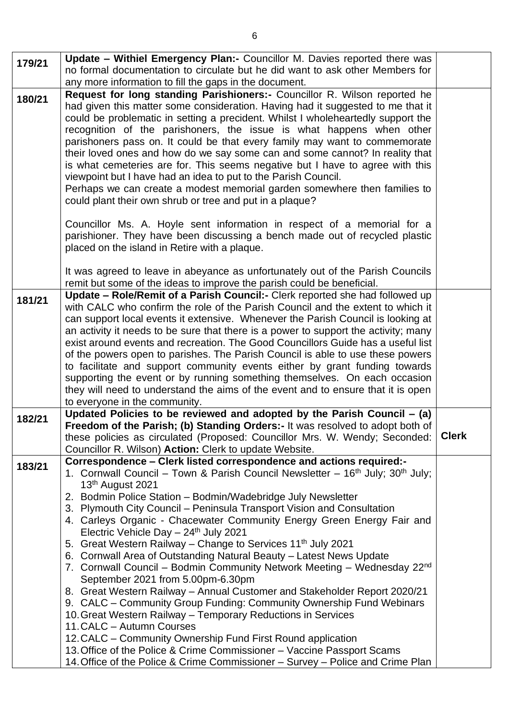|        | Update - Withiel Emergency Plan:- Councillor M. Davies reported there was                                                                                               |              |  |
|--------|-------------------------------------------------------------------------------------------------------------------------------------------------------------------------|--------------|--|
| 179/21 | no formal documentation to circulate but he did want to ask other Members for                                                                                           |              |  |
|        | any more information to fill the gaps in the document.                                                                                                                  |              |  |
|        | Request for long standing Parishioners:- Councillor R. Wilson reported he                                                                                               |              |  |
| 180/21 | had given this matter some consideration. Having had it suggested to me that it                                                                                         |              |  |
|        | could be problematic in setting a precident. Whilst I wholeheartedly support the                                                                                        |              |  |
|        | recognition of the parishoners, the issue is what happens when other                                                                                                    |              |  |
|        | parishoners pass on. It could be that every family may want to commemorate                                                                                              |              |  |
|        | their loved ones and how do we say some can and some cannot? In reality that                                                                                            |              |  |
|        | is what cemeteries are for. This seems negative but I have to agree with this                                                                                           |              |  |
|        | viewpoint but I have had an idea to put to the Parish Council.                                                                                                          |              |  |
|        | Perhaps we can create a modest memorial garden somewhere then families to                                                                                               |              |  |
|        | could plant their own shrub or tree and put in a plaque?                                                                                                                |              |  |
|        |                                                                                                                                                                         |              |  |
|        | Councillor Ms. A. Hoyle sent information in respect of a memorial for a                                                                                                 |              |  |
|        | parishioner. They have been discussing a bench made out of recycled plastic                                                                                             |              |  |
|        | placed on the island in Retire with a plaque.                                                                                                                           |              |  |
|        |                                                                                                                                                                         |              |  |
|        | It was agreed to leave in abeyance as unfortunately out of the Parish Councils                                                                                          |              |  |
|        | remit but some of the ideas to improve the parish could be beneficial.                                                                                                  |              |  |
| 181/21 | Update - Role/Remit of a Parish Council: - Clerk reported she had followed up                                                                                           |              |  |
|        | with CALC who confirm the role of the Parish Council and the extent to which it                                                                                         |              |  |
|        | can support local events it extensive. Whenever the Parish Council is looking at<br>an activity it needs to be sure that there is a power to support the activity; many |              |  |
|        | exist around events and recreation. The Good Councillors Guide has a useful list                                                                                        |              |  |
|        | of the powers open to parishes. The Parish Council is able to use these powers                                                                                          |              |  |
|        | to facilitate and support community events either by grant funding towards                                                                                              |              |  |
|        | supporting the event or by running something themselves. On each occasion                                                                                               |              |  |
|        | they will need to understand the aims of the event and to ensure that it is open                                                                                        |              |  |
|        | to everyone in the community.                                                                                                                                           |              |  |
| 182/21 | Updated Policies to be reviewed and adopted by the Parish Council - (a)                                                                                                 |              |  |
|        | Freedom of the Parish; (b) Standing Orders:- It was resolved to adopt both of                                                                                           |              |  |
|        | these policies as circulated (Proposed: Councillor Mrs. W. Wendy; Seconded:                                                                                             | <b>Clerk</b> |  |
|        | Councillor R. Wilson) Action: Clerk to update Website.                                                                                                                  |              |  |
| 183/21 | Correspondence - Clerk listed correspondence and actions required:-                                                                                                     |              |  |
|        | 1. Cornwall Council – Town & Parish Council Newsletter – 16 <sup>th</sup> July; 30 <sup>th</sup> July;                                                                  |              |  |
|        | 13 <sup>th</sup> August 2021                                                                                                                                            |              |  |
|        | 2. Bodmin Police Station - Bodmin/Wadebridge July Newsletter                                                                                                            |              |  |
|        | 3. Plymouth City Council - Peninsula Transport Vision and Consultation                                                                                                  |              |  |
|        | 4. Carleys Organic - Chacewater Community Energy Green Energy Fair and<br>Electric Vehicle Day $-24$ <sup>th</sup> July 2021                                            |              |  |
|        | 5. Great Western Railway – Change to Services 11 <sup>th</sup> July 2021                                                                                                |              |  |
|        | 6. Cornwall Area of Outstanding Natural Beauty - Latest News Update                                                                                                     |              |  |
|        | 7. Cornwall Council – Bodmin Community Network Meeting – Wednesday 22 <sup>nd</sup>                                                                                     |              |  |
|        | September 2021 from 5.00pm-6.30pm                                                                                                                                       |              |  |
|        | 8. Great Western Railway - Annual Customer and Stakeholder Report 2020/21                                                                                               |              |  |
|        | 9. CALC – Community Group Funding: Community Ownership Fund Webinars                                                                                                    |              |  |
|        | 10. Great Western Railway - Temporary Reductions in Services                                                                                                            |              |  |
|        | 11. CALC - Autumn Courses                                                                                                                                               |              |  |
|        | 12. CALC – Community Ownership Fund First Round application                                                                                                             |              |  |
|        | 13. Office of the Police & Crime Commissioner - Vaccine Passport Scams                                                                                                  |              |  |
|        | 14. Office of the Police & Crime Commissioner – Survey – Police and Crime Plan                                                                                          |              |  |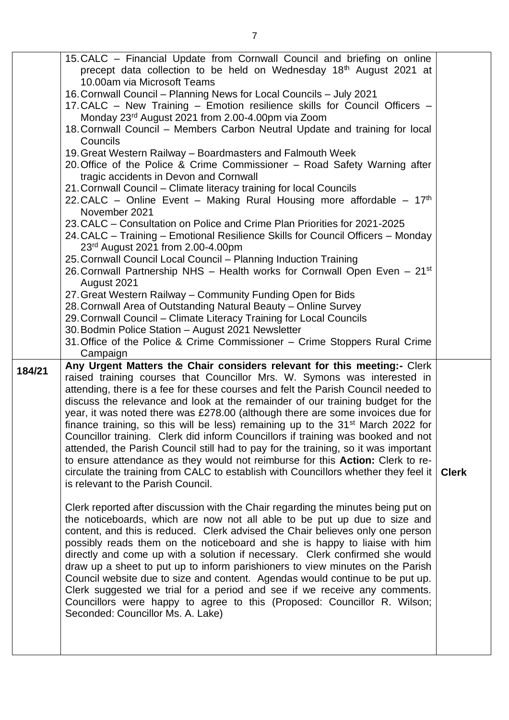|        | 15. CALC - Financial Update from Cornwall Council and briefing on online<br>precept data collection to be held on Wednesday 18 <sup>th</sup> August 2021 at |              |
|--------|-------------------------------------------------------------------------------------------------------------------------------------------------------------|--------------|
|        | 10.00am via Microsoft Teams                                                                                                                                 |              |
|        | 16. Cornwall Council - Planning News for Local Councils - July 2021                                                                                         |              |
|        | 17. CALC - New Training - Emotion resilience skills for Council Officers -                                                                                  |              |
|        | Monday 23rd August 2021 from 2.00-4.00pm via Zoom                                                                                                           |              |
|        | 18. Cornwall Council - Members Carbon Neutral Update and training for local<br>Councils                                                                     |              |
|        | 19. Great Western Railway - Boardmasters and Falmouth Week                                                                                                  |              |
|        | 20. Office of the Police & Crime Commissioner – Road Safety Warning after                                                                                   |              |
|        | tragic accidents in Devon and Cornwall                                                                                                                      |              |
|        | 21. Cornwall Council – Climate literacy training for local Councils                                                                                         |              |
|        | 22. CALC – Online Event – Making Rural Housing more affordable – $17th$                                                                                     |              |
|        | November 2021                                                                                                                                               |              |
|        | 23. CALC – Consultation on Police and Crime Plan Priorities for 2021-2025                                                                                   |              |
|        | 24. CALC - Training - Emotional Resilience Skills for Council Officers - Monday<br>23rd August 2021 from 2.00-4.00pm                                        |              |
|        | 25. Cornwall Council Local Council - Planning Induction Training                                                                                            |              |
|        | 26. Cornwall Partnership NHS - Health works for Cornwall Open Even - 21 <sup>st</sup><br>August 2021                                                        |              |
|        | 27. Great Western Railway – Community Funding Open for Bids                                                                                                 |              |
|        | 28. Cornwall Area of Outstanding Natural Beauty – Online Survey                                                                                             |              |
|        | 29. Cornwall Council – Climate Literacy Training for Local Councils                                                                                         |              |
|        | 30. Bodmin Police Station - August 2021 Newsletter                                                                                                          |              |
|        | 31. Office of the Police & Crime Commissioner - Crime Stoppers Rural Crime<br>Campaign                                                                      |              |
|        | Any Urgent Matters the Chair considers relevant for this meeting:- Clerk                                                                                    |              |
| 184/21 | raised training courses that Councillor Mrs. W. Symons was interested in                                                                                    |              |
|        | attending, there is a fee for these courses and felt the Parish Council needed to                                                                           |              |
|        | discuss the relevance and look at the remainder of our training budget for the                                                                              |              |
|        | year, it was noted there was £278.00 (although there are some invoices due for                                                                              |              |
|        | finance training, so this will be less) remaining up to the 31 <sup>st</sup> March 2022 for                                                                 |              |
|        | Councillor training. Clerk did inform Councillors if training was booked and not                                                                            |              |
|        | attended, the Parish Council still had to pay for the training, so it was important                                                                         |              |
|        | to ensure attendance as they would not reimburse for this <b>Action:</b> Clerk to re-                                                                       |              |
|        | circulate the training from CALC to establish with Councillors whether they feel it                                                                         | <b>Clerk</b> |
|        | is relevant to the Parish Council.                                                                                                                          |              |
|        |                                                                                                                                                             |              |
|        | Clerk reported after discussion with the Chair regarding the minutes being put on                                                                           |              |
|        | the noticeboards, which are now not all able to be put up due to size and<br>content, and this is reduced. Clerk advised the Chair believes only one person |              |
|        | possibly reads them on the noticeboard and she is happy to liaise with him                                                                                  |              |
|        | directly and come up with a solution if necessary. Clerk confirmed she would                                                                                |              |
|        | draw up a sheet to put up to inform parishioners to view minutes on the Parish                                                                              |              |
|        | Council website due to size and content. Agendas would continue to be put up.                                                                               |              |
|        | Clerk suggested we trial for a period and see if we receive any comments.                                                                                   |              |
|        | Councillors were happy to agree to this (Proposed: Councillor R. Wilson;                                                                                    |              |
|        | Seconded: Councillor Ms. A. Lake)                                                                                                                           |              |
|        |                                                                                                                                                             |              |
|        |                                                                                                                                                             |              |
|        |                                                                                                                                                             |              |